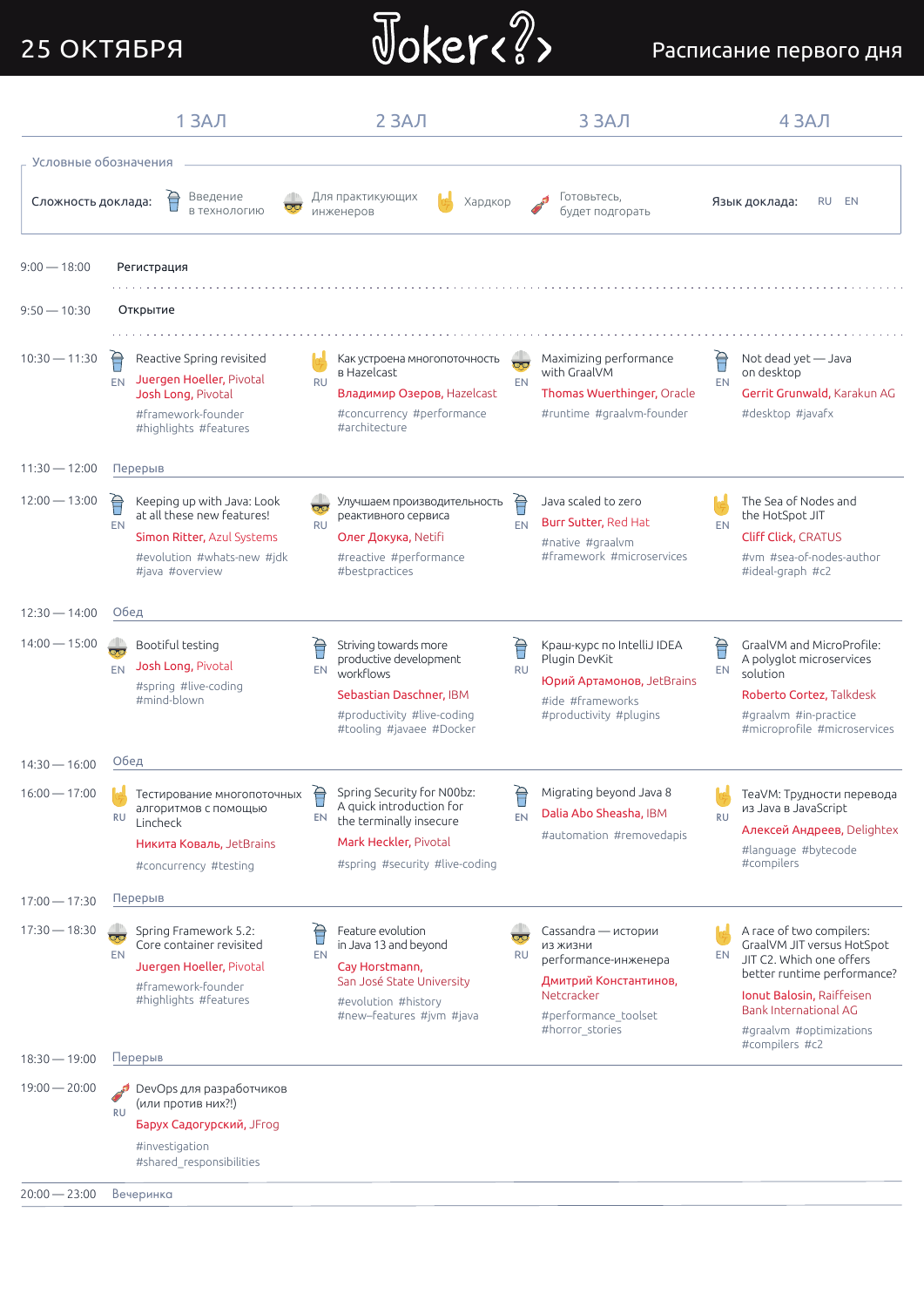## 25 ОКТЯБРЯ



#### Расписание первого дня